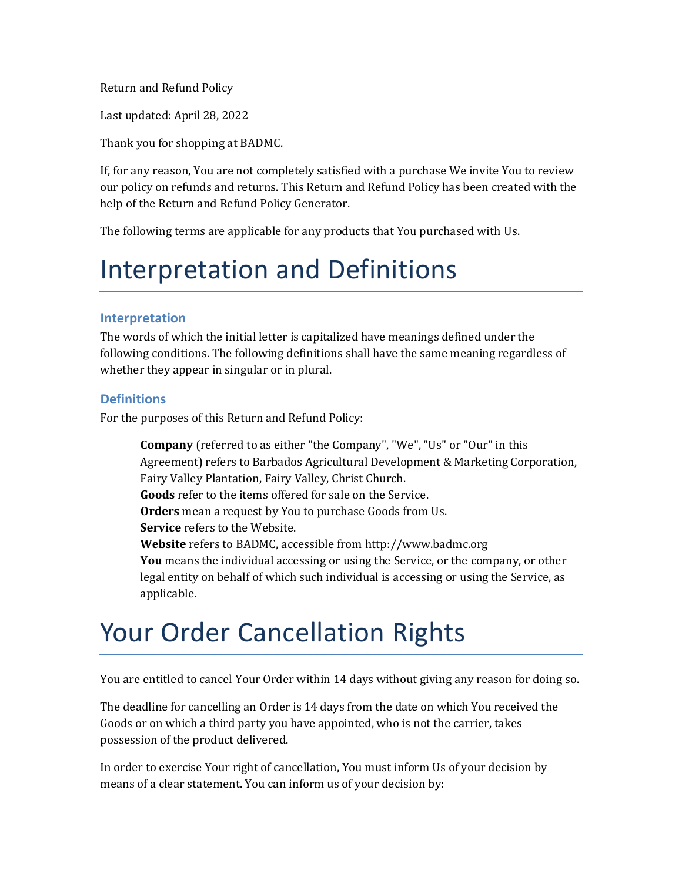Return and Refund Policy

Last updated: April 28, 2022

Thank you for shopping at BADMC.

If, for any reason, You are not completely satisfied with a purchase We invite You to review our policy on refunds and returns. This Return and Refund Policy has been created with the help of the [Return and Refund Policy Generator.](https://www.termsfeed.com/return-refund-policy-generator/)

The following terms are applicable for any products that You purchased with Us.

### Interpretation and Definitions

#### **Interpretation**

The words of which the initial letter is capitalized have meanings defined under the following conditions. The following definitions shall have the same meaning regardless of whether they appear in singular or in plural.

#### **Definitions**

For the purposes of this Return and Refund Policy:

**Company** (referred to as either "the Company", "We", "Us" or "Our" in this Agreement) refers to Barbados Agricultural Development & Marketing Corporation, Fairy Valley Plantation, Fairy Valley, Christ Church. **Goods** refer to the items offered for sale on the Service. **Orders** mean a request by You to purchase Goods from Us. **Service** refers to the Website. **Website** refers to BADMC, accessible fro[m http://www.badmc.org](http://www.badmc.org/) **You** means the individual accessing or using the Service, or the company, or other legal entity on behalf of which such individual is accessing or using the Service, as applicable.

#### Your Order Cancellation Rights

You are entitled to cancel Your Order within 14 days without giving any reason for doing so.

The deadline for cancelling an Order is 14 days from the date on which You received the Goods or on which a third party you have appointed, who is not the carrier, takes possession of the product delivered.

In order to exercise Your right of cancellation, You must inform Us of your decision by means of a clear statement. You can inform us of your decision by: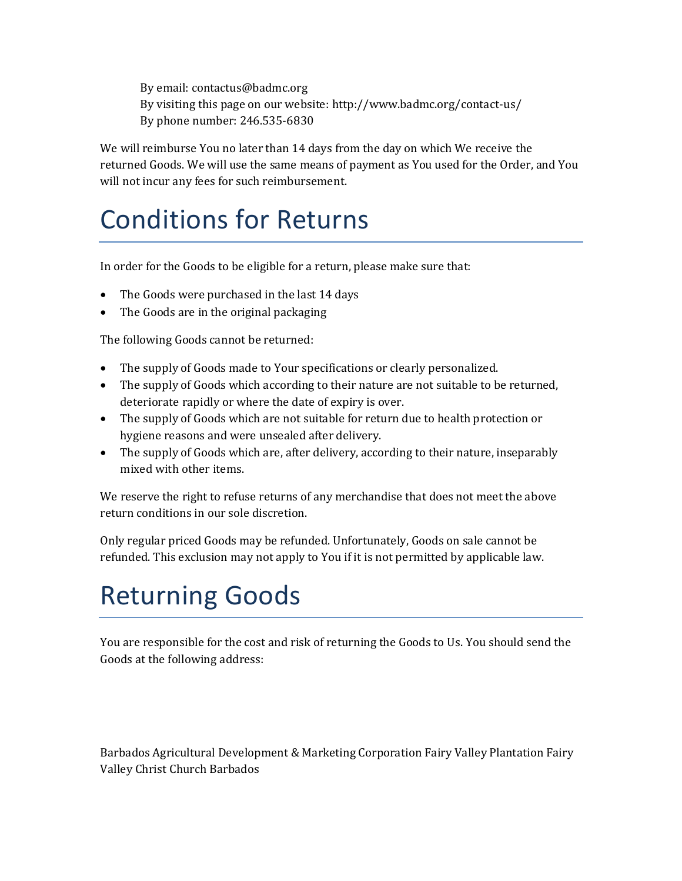By email: contactus@badmc.org By visiting this page on our website:<http://www.badmc.org/contact-us/> By phone number: 246.535-6830

We will reimburse You no later than 14 days from the day on which We receive the returned Goods. We will use the same means of payment as You used for the Order, and You will not incur any fees for such reimbursement.

### Conditions for Returns

In order for the Goods to be eligible for a return, please make sure that:

- The Goods were purchased in the last 14 days
- The Goods are in the original packaging

The following Goods cannot be returned:

- The supply of Goods made to Your specifications or clearly personalized.
- The supply of Goods which according to their nature are not suitable to be returned, deteriorate rapidly or where the date of expiry is over.
- The supply of Goods which are not suitable for return due to health protection or hygiene reasons and were unsealed after delivery.
- The supply of Goods which are, after delivery, according to their nature, inseparably mixed with other items.

We reserve the right to refuse returns of any merchandise that does not meet the above return conditions in our sole discretion.

Only regular priced Goods may be refunded. Unfortunately, Goods on sale cannot be refunded. This exclusion may not apply to You if it is not permitted by applicable law.

## Returning Goods

You are responsible for the cost and risk of returning the Goods to Us. You should send the Goods at the following address:

Barbados Agricultural Development & Marketing Corporation Fairy Valley Plantation Fairy Valley Christ Church Barbados